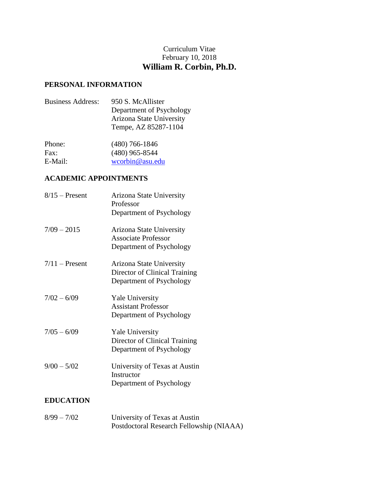# Curriculum Vitae February 10, 2018 **William R. Corbin, Ph.D.**

## **PERSONAL INFORMATION**

| <b>Business Address:</b> | 950 S. McAllister        |
|--------------------------|--------------------------|
|                          | Department of Psychology |
|                          | Arizona State University |
|                          | Tempe, AZ 85287-1104     |
|                          |                          |

| $(480)$ 766-1846 |
|------------------|
| $(480)$ 965-8544 |
| wcorbin@asu.edu  |
|                  |

# **ACADEMIC APPOINTMENTS**

| $8/15$ – Present | Arizona State University<br>Professor<br>Department of Psychology                     |
|------------------|---------------------------------------------------------------------------------------|
| $7/09 - 2015$    | Arizona State University<br><b>Associate Professor</b><br>Department of Psychology    |
| $7/11$ – Present | Arizona State University<br>Director of Clinical Training<br>Department of Psychology |
| $7/02 - 6/09$    | <b>Yale University</b><br><b>Assistant Professor</b><br>Department of Psychology      |
| $7/05 - 6/09$    | <b>Yale University</b><br>Director of Clinical Training<br>Department of Psychology   |
| $9/00 - 5/02$    | University of Texas at Austin<br>Instructor<br>Department of Psychology               |

# **EDUCATION**

| $8/99 - 7/02$ | University of Texas at Austin            |
|---------------|------------------------------------------|
|               | Postdoctoral Research Fellowship (NIAAA) |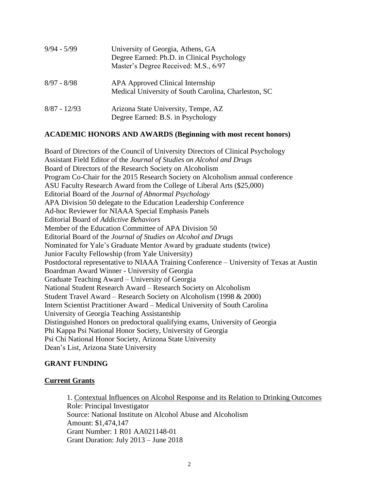| $9/94 - 5/99$  | University of Georgia, Athens, GA<br>Degree Earned: Ph.D. in Clinical Psychology<br>Master's Degree Received: M.S., 6/97 |
|----------------|--------------------------------------------------------------------------------------------------------------------------|
| $8/97 - 8/98$  | APA Approved Clinical Internship<br>Medical University of South Carolina, Charleston, SC                                 |
| $8/87 - 12/93$ | Arizona State University, Tempe, AZ<br>Degree Earned: B.S. in Psychology                                                 |

## **ACADEMIC HONORS AND AWARDS (Beginning with most recent honors)**

Board of Directors of the Council of University Directors of Clinical Psychology Assistant Field Editor of the *Journal of Studies on Alcohol and Drugs* Board of Directors of the Research Society on Alcoholism Program Co-Chair for the 2015 Research Society on Alcoholism annual conference ASU Faculty Research Award from the College of Liberal Arts (\$25,000) Editorial Board of the *Journal of Abnormal Psychology* APA Division 50 delegate to the Education Leadership Conference Ad-hoc Reviewer for NIAAA Special Emphasis Panels Editorial Board of *Addictive Behaviors* Member of the Education Committee of APA Division 50 Editorial Board of the *Journal of Studies on Alcohol and Drugs* Nominated for Yale's Graduate Mentor Award by graduate students (twice) Junior Faculty Fellowship (from Yale University) Postdoctoral representative to NIAAA Training Conference – University of Texas at Austin Boardman Award Winner - University of Georgia Graduate Teaching Award – University of Georgia National Student Research Award – Research Society on Alcoholism Student Travel Award – Research Society on Alcoholism (1998 & 2000) Intern Scientist Practitioner Award – Medical University of South Carolina University of Georgia Teaching Assistantship Distinguished Honors on predoctoral qualifying exams, University of Georgia Phi Kappa Psi National Honor Society, University of Georgia Psi Chi National Honor Society, Arizona State University Dean's List, Arizona State University

## **GRANT FUNDING**

## **Current Grants**

1. Contextual Influences on Alcohol Response and its Relation to Drinking Outcomes Role: Principal Investigator Source: National Institute on Alcohol Abuse and Alcoholism Amount: \$1,474,147 Grant Number: 1 R01 AA021148-01 Grant Duration: July 2013 – June 2018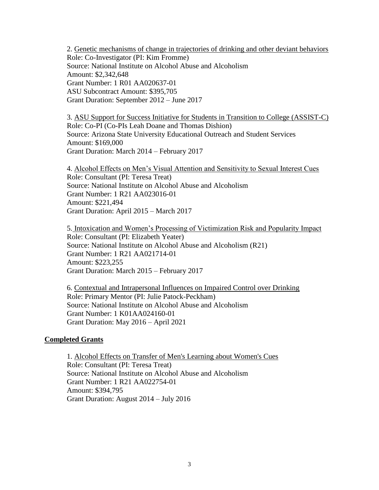2. Genetic mechanisms of change in trajectories of drinking and other deviant behaviors Role: Co-Investigator (PI: Kim Fromme) Source: National Institute on Alcohol Abuse and Alcoholism Amount: \$2,342,648 Grant Number: 1 R01 AA020637-01 ASU Subcontract Amount: \$395,705 Grant Duration: September 2012 – June 2017

3. ASU Support for Success Initiative for Students in Transition to College (ASSIST-C) Role: Co-PI (Co-PIs Leah Doane and Thomas Dishion) Source: Arizona State University Educational Outreach and Student Services Amount: \$169,000 Grant Duration: March 2014 – February 2017

4. Alcohol Effects on Men's Visual Attention and Sensitivity to Sexual Interest Cues Role: Consultant (PI: Teresa Treat) Source: National Institute on Alcohol Abuse and Alcoholism Grant Number: 1 R21 AA023016-01 Amount: \$221,494 Grant Duration: April 2015 – March 2017

5. Intoxication and Women's Processing of Victimization Risk and Popularity Impact Role: Consultant (PI: Elizabeth Yeater) Source: National Institute on Alcohol Abuse and Alcoholism (R21) Grant Number: 1 R21 AA021714-01 Amount: \$223,255 Grant Duration: March 2015 – February 2017

6. Contextual and Intrapersonal Influences on Impaired Control over Drinking Role: Primary Mentor (PI: Julie Patock-Peckham) Source: National Institute on Alcohol Abuse and Alcoholism Grant Number: 1 K01AA024160-01 Grant Duration: May 2016 – April 2021

#### **Completed Grants**

1. Alcohol Effects on Transfer of Men's Learning about Women's Cues Role: Consultant (PI: Teresa Treat) Source: National Institute on Alcohol Abuse and Alcoholism Grant Number: 1 R21 AA022754-01 Amount: \$394,795 Grant Duration: August 2014 – July 2016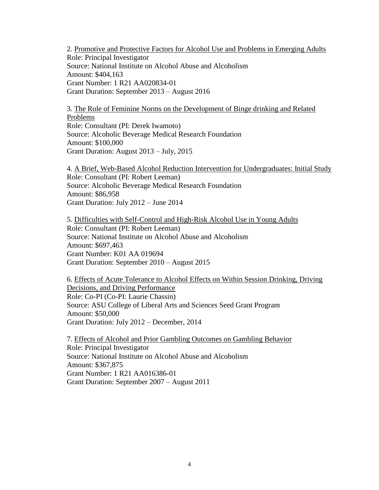2. Promotive and Protective Factors for Alcohol Use and Problems in Emerging Adults Role: Principal Investigator Source: National Institute on Alcohol Abuse and Alcoholism Amount: \$404,163 Grant Number: 1 R21 AA020834-01 Grant Duration: September 2013 – August 2016

3. The Role of Feminine Norms on the Development of Binge drinking and Related Problems Role: Consultant (PI: Derek Iwamoto) Source: Alcoholic Beverage Medical Research Foundation Amount: \$100,000 Grant Duration: August 2013 – July, 2015

4. A Brief, Web-Based Alcohol Reduction Intervention for Undergraduates: Initial Study Role: Consultant (PI: Robert Leeman) Source: Alcoholic Beverage Medical Research Foundation Amount: \$86,958 Grant Duration: July 2012 – June 2014

5. Difficulties with Self-Control and High-Risk Alcohol Use in Young Adults Role: Consultant (PI: Robert Leeman) Source: National Institute on Alcohol Abuse and Alcoholism Amount: \$697,463 Grant Number: K01 AA 019694 Grant Duration: September 2010 – August 2015

6. Effects of Acute Tolerance to Alcohol Effects on Within Session Drinking, Driving Decisions, and Driving Performance Role: Co-PI (Co-PI: Laurie Chassin) Source: ASU College of Liberal Arts and Sciences Seed Grant Program Amount: \$50,000 Grant Duration: July 2012 – December, 2014

7. Effects of Alcohol and Prior Gambling Outcomes on Gambling Behavior Role: Principal Investigator Source: National Institute on Alcohol Abuse and Alcoholism Amount: \$367,875 Grant Number: 1 R21 AA016386-01 Grant Duration: September 2007 – August 2011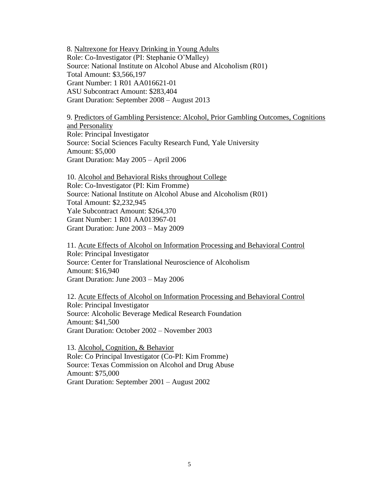8. Naltrexone for Heavy Drinking in Young Adults Role: Co-Investigator (PI: Stephanie O'Malley) Source: National Institute on Alcohol Abuse and Alcoholism (R01) Total Amount: \$3,566,197 Grant Number: 1 R01 AA016621-01 ASU Subcontract Amount: \$283,404 Grant Duration: September 2008 – August 2013

9. Predictors of Gambling Persistence: Alcohol, Prior Gambling Outcomes, Cognitions and Personality Role: Principal Investigator Source: Social Sciences Faculty Research Fund, Yale University Amount: \$5,000 Grant Duration: May 2005 – April 2006

10. Alcohol and Behavioral Risks throughout College Role: Co-Investigator (PI: Kim Fromme) Source: National Institute on Alcohol Abuse and Alcoholism (R01) Total Amount: \$2,232,945 Yale Subcontract Amount: \$264,370 Grant Number: 1 R01 AA013967-01 Grant Duration: June 2003 – May 2009

11. Acute Effects of Alcohol on Information Processing and Behavioral Control Role: Principal Investigator Source: Center for Translational Neuroscience of Alcoholism Amount: \$16,940 Grant Duration: June 2003 – May 2006

12. Acute Effects of Alcohol on Information Processing and Behavioral Control Role: Principal Investigator Source: Alcoholic Beverage Medical Research Foundation Amount: \$41,500 Grant Duration: October 2002 – November 2003

13. Alcohol, Cognition, & Behavior Role: Co Principal Investigator (Co-PI: Kim Fromme) Source: Texas Commission on Alcohol and Drug Abuse Amount: \$75,000 Grant Duration: September 2001 – August 2002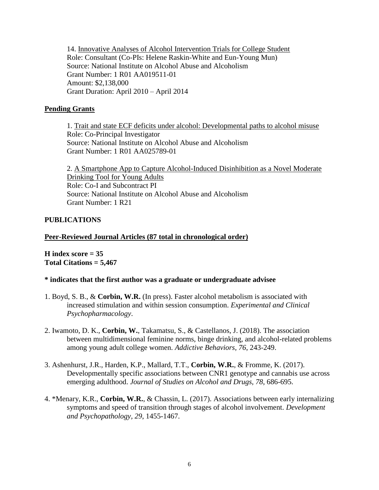14. Innovative Analyses of Alcohol Intervention Trials for College Student Role: Consultant (Co-PIs: Helene Raskin-White and Eun-Young Mun) Source: National Institute on Alcohol Abuse and Alcoholism Grant Number: 1 R01 AA019511-01 Amount: \$2,138,000 Grant Duration: April 2010 – April 2014

## **Pending Grants**

1. Trait and state ECF deficits under alcohol: Developmental paths to alcohol misuse Role: Co-Principal Investigator Source: National Institute on Alcohol Abuse and Alcoholism Grant Number: 1 R01 AA025789-01

2. A Smartphone App to Capture Alcohol-Induced Disinhibition as a Novel Moderate Drinking Tool for Young Adults Role: Co-I and Subcontract PI Source: National Institute on Alcohol Abuse and Alcoholism Grant Number: 1 R21

## **PUBLICATIONS**

## **Peer-Reviewed Journal Articles (87 total in chronological order)**

**H index score = 35 Total Citations = 5,467**

## **\* indicates that the first author was a graduate or undergraduate advisee**

- 1. Boyd, S. B., & **Corbin, W.R.** (In press). Faster alcohol metabolism is associated with increased stimulation and within session consumption. *Experimental and Clinical Psychopharmacology*.
- 2. Iwamoto, D. K., **Corbin, W.**, Takamatsu, S., & Castellanos, J. (2018). The association between multidimensional feminine norms, binge drinking, and alcohol-related problems among young adult college women. *Addictive Behaviors, 76*, 243-249.
- 3. Ashenhurst, J.R., Harden, K.P., Mallard, T.T., **Corbin, W.R.**, & Fromme, K. (2017). Developmentally specific associations between CNR1 genotype and cannabis use across emerging adulthood. *Journal of Studies on Alcohol and Drugs, 78*, 686-695.
- 4. \*Menary, K.R., **Corbin, W.R.**, & Chassin, L. (2017). Associations between early internalizing symptoms and speed of transition through stages of alcohol involvement. *Development and Psychopathology, 29*, 1455-1467.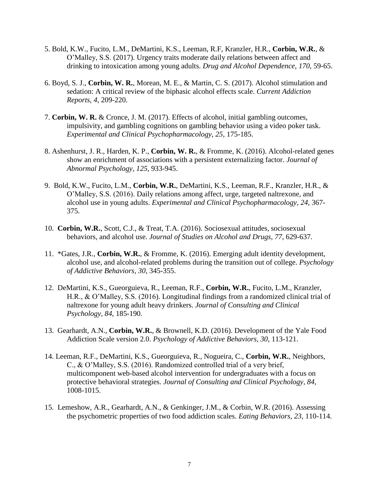- 5. Bold, K.W., Fucito, L.M., DeMartini, K.S., Leeman, R.F, Kranzler, H.R., **Corbin, W.R.**, & O'Malley, S.S. (2017). Urgency traits moderate daily relations between affect and drinking to intoxication among young adults. *Drug and Alcohol Dependence, 170,* 59-65.
- 6. Boyd, S. J., **Corbin, W. R.**, Morean, M. E., & Martin, C. S. (2017). Alcohol stimulation and sedation: A critical review of the biphasic alcohol effects scale. *Current Addiction Reports, 4*, 209-220.
- 7. **Corbin, W. R.** & Cronce, J. M. (2017). Effects of alcohol, initial gambling outcomes, impulsivity, and gambling cognitions on gambling behavior using a video poker task. *Experimental and Clinical Psychopharmacology, 25*, 175-185.
- 8. Ashenhurst, J. R., Harden, K. P., **Corbin, W. R.**, & Fromme, K. (2016). Alcohol-related genes show an enrichment of associations with a persistent externalizing factor. *Journal of Abnormal Psychology, 125*, 933-945.
- 9. Bold, K.W., Fucito, L.M., **Corbin, W.R.**, DeMartini, K.S., Leeman, R.F., Kranzler, H.R., & O'Malley, S.S. (2016). Daily relations among affect, urge, targeted naltrexone, and alcohol use in young adults. *Experimental and Clinical Psychopharmacology, 24*, 367- 375.
- 10. **Corbin, W.R.**, Scott, C.J., & Treat, T.A. (2016). Sociosexual attitudes, sociosexual behaviors, and alcohol use. *Journal of Studies on Alcohol and Drugs, 77*, 629-637.
- 11. \*Gates, J.R., **Corbin, W.R.**, & Fromme, K. (2016). Emerging adult identity development, alcohol use, and alcohol-related problems during the transition out of college. *Psychology of Addictive Behaviors, 30*, 345-355.
- 12. DeMartini, K.S., Gueorguieva, R., Leeman, R.F., **Corbin, W.R.**, Fucito, L.M., Kranzler, H.R., & O'Malley, S.S. (2016). Longitudinal findings from a randomized clinical trial of naltrexone for young adult heavy drinkers. *Journal of Consulting and Clinical Psychology, 84*, 185-190.
- 13. Gearhardt, A.N., **Corbin, W.R.**, & Brownell, K.D. (2016). Development of the Yale Food Addiction Scale version 2.0. *Psychology of Addictive Behaviors, 30*, 113-121.
- 14. Leeman, R.F., DeMartini, K.S., Gueorguieva, R., Nogueira, C., **Corbin, W.R.**, Neighbors, C., & O'Malley, S.S. (2016). Randomized controlled trial of a very brief, multicomponent web-based alcohol intervention for undergraduates with a focus on protective behavioral strategies. *Journal of Consulting and Clinical Psychology, 84*, 1008-1015.
- 15. Lemeshow, A.R., Gearhardt, A.N., & Genkinger, J.M., & Corbin, W.R. (2016). Assessing the psychometric properties of two food addiction scales. *Eating Behaviors, 23*, 110-114.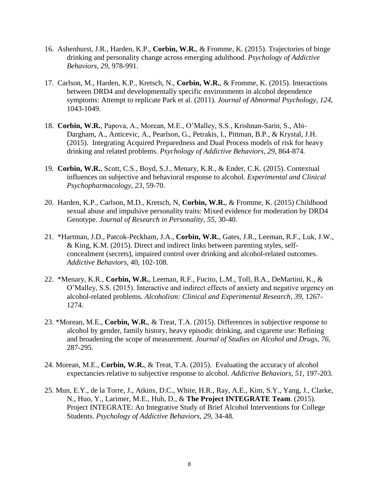- 16. Ashenhurst, J.R., Harden, K.P., **Corbin, W.R.**, & Fromme, K. (2015). Trajectories of binge drinking and personality change across emerging adulthood. *Psychology of Addictive Behaviors, 29*, 978-991.
- 17. Carlson, M., Harden, K.P., Kretsch, N., **Corbin, W.R.**, & Fromme, K. (2015). Interactions between DRD4 and developmentally specific environments in alcohol dependence symptoms: Attempt to replicate Park et al. (2011). *Journal of Abnormal Psychology, 124*, 1043-1049.
- 18. **Corbin, W.R.**, Papova, A., Morean, M.E., O'Malley, S.S., Krishnan-Sarin, S., Abi-Dargham, A., Anticevic, A., Pearlson, G., Petrakis, I., Pittman, B.P., & Krystal, J.H. (2015). Integrating Acquired Preparedness and Dual Process models of risk for heavy drinking and related problems. *Psychology of Addictive Behaviors, 29*, 864-874*.*
- 19. **Corbin, W.R.**, Scott, C.S., Boyd, S.J., Menary, K.R., & Ender, C.K. (2015). Contextual influences on subjective and behavioral response to alcohol. *Experimental and Clinical Psychopharmacology*, *23*, 59-70.
- 20. Harden, K.P., Carlson, M.D., Kretsch, N, **Corbin, W.R.**, & Fromme, K. (2015) Childhood sexual abuse and impulsive personality traits: Mixed evidence for moderation by DRD4 Genotype. *Journal of Research in Personality, 55*, 30-40.
- 21. \*Hartman, J.D., Patcok-Peckham, J.A., **Corbin, W.R.**, Gates, J.R., Leeman, R.F., Luk, J.W., & King, K.M. (2015). Direct and indirect links between parenting styles, selfconcealment (secrets), impaired control over drinking and alcohol-related outcomes. *Addictive Behaviors*, 40, 102-108.
- 22. \*Menary, K.R., **Corbin, W.R.**, Leeman, R.F., Fucito, L.M., Toll, B.A., DeMartini, K., & O'Malley, S.S. (2015). Interactive and indirect effects of anxiety and negative urgency on alcohol-related problems. *Alcoholism: Clinical and Experimental Research, 39*, 1267- 1274.
- 23. \*Morean, M.E., **Corbin, W.R.**, & Treat, T.A. (2015). Differences in subjective response to alcohol by gender, family history, heavy episodic drinking, and cigarette use: Refining and broadening the scope of measurement. *Journal of Studies on Alcohol and Drugs*, *76*, 287-295.
- 24. Morean, M.E., **Corbin, W.R.**, & Treat, T.A. (2015). Evaluating the accuracy of alcohol expectancies relative to subjective response to alcohol. *Addictive Behaviors, 51*, 197-203.
- 25. Mun, E.Y., de la Torre, J., Atkins, D.C., White, H.R., Ray, A.E., Kim, S.Y., Yang, J., Clarke, N., Huo, Y., Larimer, M.E., Huh, D., & **The Project INTEGRATE Team**. (2015). Project INTEGRATE: An Integrative Study of Brief Alcohol Interventions for College Students. *Psychology of Addictive Behaviors, 29*, 34-48.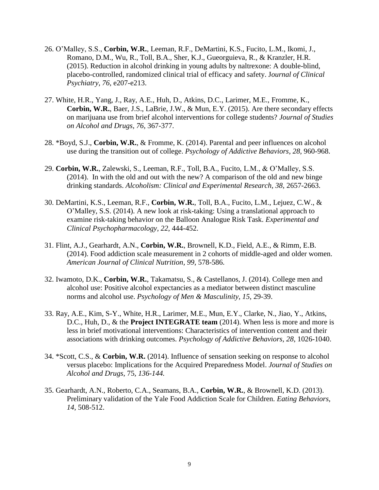- 26. O'Malley, S.S., **Corbin, W.R.**, Leeman, R.F., DeMartini, K.S., Fucito, L.M., Ikomi, J., Romano, D.M., Wu, R., Toll, B.A., Sher, K.J., Gueorguieva, R., & Kranzler, H.R. (2015). Reduction in alcohol drinking in young adults by naltrexone: A double-blind, placebo-controlled, randomized clinical trial of efficacy and safety. J*ournal of Clinical Psychiatry, 76*, e207-e213.
- 27. White, H.R., Yang, J., Ray, A.E., Huh, D., Atkins, D.C., Larimer, M.E., Fromme, K., **Corbin, W.R.**, Baer, J.S., LaBrie, J.W., & Mun, E.Y. (2015). Are there secondary effects on marijuana use from brief alcohol interventions for college students? *Journal of Studies on Alcohol and Drugs, 76*, 367-377.
- 28. \*Boyd, S.J., **Corbin, W.R.**, & Fromme, K. (2014). Parental and peer influences on alcohol use during the transition out of college. *Psychology of Addictive Behaviors, 28,* 960-968.
- 29. **Corbin, W.R.**, Zalewski, S., Leeman, R.F., Toll, B.A., Fucito, L.M., & O'Malley, S.S. (2014). In with the old and out with the new? A comparison of the old and new binge drinking standards. *Alcoholism: Clinical and Experimental Research*, *38*, 2657-2663.
- 30. DeMartini, K.S., Leeman, R.F., **Corbin, W.R.**, Toll, B.A., Fucito, L.M., Lejuez, C.W., & O'Malley, S.S. (2014). A new look at risk-taking: Using a translational approach to examine risk-taking behavior on the Balloon Analogue Risk Task. *Experimental and Clinical Psychopharmacology, 22*, 444-452.
- 31. Flint, A.J., Gearhardt, A.N., **Corbin, W.R.**, Brownell, K.D., Field, A.E., & Rimm, E.B. (2014). Food addiction scale measurement in 2 cohorts of middle-aged and older women. *American Journal of Clinical Nutrition, 99*, 578-586.
- 32. Iwamoto, D.K., **Corbin, W.R.**, Takamatsu, S., & Castellanos, J. (2014). College men and alcohol use: Positive alcohol expectancies as a mediator between distinct masculine norms and alcohol use. *Psychology of Men & Masculinity, 15*, 29-39.
- 33. Ray, A.E., Kim, S-Y., White, H.R., Larimer, M.E., Mun, E.Y., Clarke, N., Jiao, Y., Atkins, D.C., Huh, D., & the **Project INTEGRATE team** (2014). When less is more and more is less in brief motivational interventions: Characteristics of intervention content and their associations with drinking outcomes. *Psychology of Addictive Behaviors, 28*, 1026-1040.
- 34. \*Scott, C.S., & **Corbin, W.R.** (2014). Influence of sensation seeking on response to alcohol versus placebo: Implications for the Acquired Preparedness Model. *Journal of Studies on Alcohol and Drugs*, 75*, 136-144.*
- 35. Gearhardt, A.N., Roberto, C.A., Seamans, B.A., **Corbin, W.R.**, & Brownell, K.D. (2013). Preliminary validation of the Yale Food Addiction Scale for Children. *Eating Behaviors, 14,* 508-512.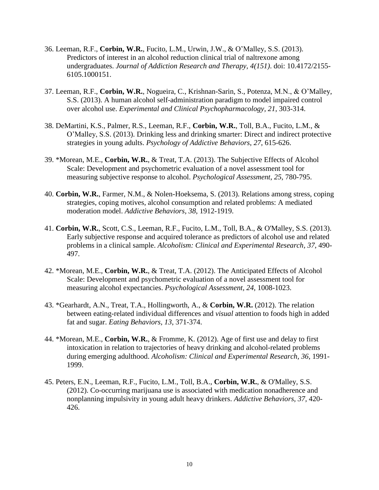- 36. Leeman, R.F., **Corbin, W.R.**, Fucito, L.M., Urwin, J.W., & O'Malley, S.S. (2013). Predictors of interest in an alcohol reduction clinical trial of naltrexone among undergraduates. *Journal of Addiction Research and Therapy, 4(151)*. doi: 10.4172/2155- 6105.1000151.
- 37. Leeman, R.F., **Corbin, W.R.**, Nogueira, C., Krishnan-Sarin, S., Potenza, M.N., & O'Malley, S.S. (2013). A human alcohol self-administration paradigm to model impaired control over alcohol use. *Experimental and Clinical Psychopharmacology, 21*, 303-314.
- 38. DeMartini, K.S., Palmer, R.S., Leeman, R.F., **Corbin, W.R.**, Toll, B.A., Fucito, L.M., & O'Malley, S.S. (2013). Drinking less and drinking smarter: Direct and indirect protective strategies in young adults. *Psychology of Addictive Behaviors*, *27*, 615-626.
- 39. \*Morean, M.E., **Corbin, W.R.**, & Treat, T.A. (2013). The Subjective Effects of Alcohol Scale: Development and psychometric evaluation of a novel assessment tool for measuring subjective response to alcohol. *Psychological Assessment*, *25*, 780-795.
- 40. **Corbin, W.R.**, Farmer, N.M., & Nolen-Hoeksema, S. (2013). Relations among stress, coping strategies, coping motives, alcohol consumption and related problems: A mediated moderation model. *Addictive Behaviors, 38*, 1912-1919.
- 41. **Corbin, W.R.**, Scott, C.S., Leeman, R.F., Fucito, L.M., Toll, B.A., & O'Malley, S.S. (2013). Early subjective response and acquired tolerance as predictors of alcohol use and related problems in a clinical sample. *Alcoholism: Clinical and Experimental Research, 37*, 490- 497.
- 42. \*Morean, M.E., **Corbin, W.R.**, & Treat, T.A. (2012). The Anticipated Effects of Alcohol Scale: Development and psychometric evaluation of a novel assessment tool for measuring alcohol expectancies. *Psychological Assessment, 24*, 1008-1023.
- 43. \*Gearhardt, A.N., Treat, T.A., Hollingworth, A., & **Corbin, W.R.** (2012). The relation between eating-related individual differences and *visual* attention to foods high in added fat and sugar. *Eating Behaviors, 13*, 371-374.
- 44. \*Morean, M.E., **Corbin, W.R.**, & Fromme, K. (2012). Age of first use and delay to first intoxication in relation to trajectories of heavy drinking and alcohol-related problems during emerging adulthood. *Alcoholism: Clinical and Experimental Research, 36*, 1991- 1999.
- 45. Peters, E.N., Leeman, R.F., Fucito, L.M., Toll, B.A., **Corbin, W.R.**, & O'Malley, S.S. (2012). Co-occurring marijuana use is associated with medication nonadherence and nonplanning impulsivity in young adult heavy drinkers. *Addictive Behaviors, 37,* 420- 426.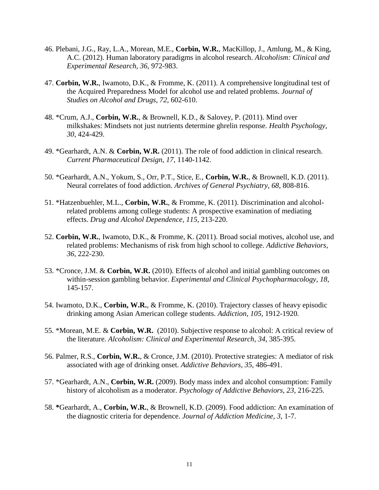- 46. Plebani, J.G., Ray, L.A., Morean, M.E., **Corbin, W.R.**, MacKillop, J., Amlung, M., & King, A.C. (2012). Human laboratory paradigms in alcohol research. *Alcoholism: Clinical and Experimental Research, 36,* 972-983.
- 47. **Corbin, W.R.**, Iwamoto, D.K., & Fromme, K. (2011). A comprehensive longitudinal test of the Acquired Preparedness Model for alcohol use and related problems. *Journal of Studies on Alcohol and Drugs, 72*, 602-610.
- 48. \*Crum, A.J., **Corbin, W.R.**, & Brownell, K.D., & Salovey, P. (2011). Mind over milkshakes: Mindsets not just nutrients determine ghrelin response. *Health Psychology, 30*, 424-429.
- 49. \*Gearhardt, A.N. & **Corbin, W.R.** (2011). The role of food addiction in clinical research. *Current Pharmaceutical Design, 17*, 1140-1142.
- 50. \*Gearhardt, A.N., Yokum, S., Orr, P.T., Stice, E., **Corbin, W.R.**, & Brownell, K.D. (2011). Neural correlates of food addiction. *Archives of General Psychiatry, 68*, 808-816.
- 51. \*Hatzenbuehler, M.L., **Corbin, W.R.**, & Fromme, K. (2011). Discrimination and alcoholrelated problems among college students: A prospective examination of mediating effects. *Drug and Alcohol Dependence, 115*, 213-220.
- 52. **Corbin, W.R.**, Iwamoto, D.K., & Fromme, K. (2011). Broad social motives, alcohol use, and related problems: Mechanisms of risk from high school to college. *Addictive Behaviors, 36*, 222-230.
- 53. \*Cronce, J.M. & **Corbin, W.R.** (2010). Effects of alcohol and initial gambling outcomes on within-session gambling behavior. *Experimental and Clinical Psychopharmacology, 18*, 145-157.
- 54. Iwamoto, D.K., **Corbin, W.R.**, & Fromme, K. (2010). Trajectory classes of heavy episodic drinking among Asian American college students. *Addiction, 105*, 1912-1920*.*
- 55. \*Morean, M.E. & **Corbin, W.R.** (2010). Subjective response to alcohol: A critical review of the literature. *Alcoholism: Clinical and Experimental Research, 34*, 385-395.
- 56. Palmer, R.S., **Corbin, W.R.**, & Cronce, J.M. (2010). Protective strategies: A mediator of risk associated with age of drinking onset. *Addictive Behaviors, 35*, 486-491.
- 57. \*Gearhardt, A.N., **Corbin, W.R.** (2009). Body mass index and alcohol consumption: Family history of alcoholism as a moderator. *Psychology of Addictive Behaviors, 23*, 216-225.
- 58. **\***Gearhardt, A., **Corbin, W.R.**, & Brownell, K.D. (2009). Food addiction: An examination of the diagnostic criteria for dependence. *Journal of Addiction Medicine, 3*, 1-7.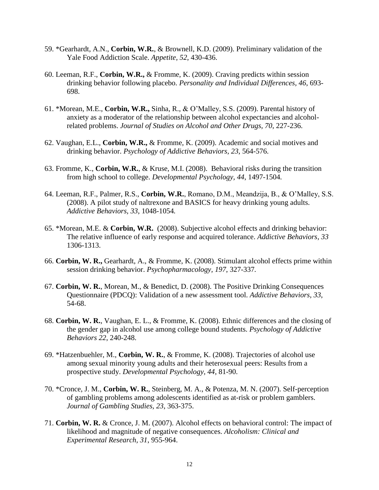- 59. \*Gearhardt, A.N., **Corbin, W.R.**, & Brownell, K.D. (2009). Preliminary validation of the Yale Food Addiction Scale. *Appetite, 52*, 430-436.
- 60. Leeman, R.F., **Corbin, W.R.,** & Fromme, K. (2009). Craving predicts within session drinking behavior following placebo. *Personality and Individual Differences, 46*, 693- 698.
- 61. \*Morean, M.E., **Corbin, W.R.,** Sinha, R., & O'Malley, S.S. (2009). Parental history of anxiety as a moderator of the relationship between alcohol expectancies and alcoholrelated problems. *Journal of Studies on Alcohol and Other Drugs, 70*, 227-236.
- 62. Vaughan, E.L., **Corbin, W.R.,** & Fromme, K. (2009). Academic and social motives and drinking behavior. *Psychology of Addictive Behaviors, 23*, 564-576.
- 63. Fromme, K., **Corbin, W.R.**, & Kruse, M.I. (2008). Behavioral risks during the transition from high school to college. *Developmental Psychology, 44*, 1497-1504*.*
- 64. Leeman, R.F., Palmer, R.S., **Corbin, W.R.**, Romano, D.M., Meandzija, B., & O'Malley, S.S. (2008). A pilot study of naltrexone and BASICS for heavy drinking young adults. *Addictive Behaviors, 33*, 1048-1054*.*
- 65. \*Morean, M.E. & **Corbin, W.R.** (2008). Subjective alcohol effects and drinking behavior: The relative influence of early response and acquired tolerance. *Addictive Behaviors, 33*  1306-1313.
- 66. **Corbin, W. R.,** Gearhardt, A., & Fromme, K. (2008). Stimulant alcohol effects prime within session drinking behavior. *Psychopharmacology, 197*, 327-337*.*
- 67. **Corbin, W. R.**, Morean, M., & Benedict, D. (2008). The Positive Drinking Consequences Questionnaire (PDCQ): Validation of a new assessment tool. *Addictive Behaviors, 33*, 54-68.
- 68. **Corbin, W. R.**, Vaughan, E. L., & Fromme, K. (2008). Ethnic differences and the closing of the gender gap in alcohol use among college bound students. *Psychology of Addictive Behaviors 22*, 240-248.
- 69. \*Hatzenbuehler, M., **Corbin, W. R.**, & Fromme, K. (2008). Trajectories of alcohol use among sexual minority young adults and their heterosexual peers: Results from a prospective study. *Developmental Psychology, 44*, 81-90.
- 70. \*Cronce, J. M., **Corbin, W. R.**, Steinberg, M. A., & Potenza, M. N. (2007). Self-perception of gambling problems among adolescents identified as at-risk or problem gamblers. *Journal of Gambling Studies, 23*, 363-375.
- 71. **Corbin, W. R.** & Cronce, J. M. (2007). Alcohol effects on behavioral control: The impact of likelihood and magnitude of negative consequences. *Alcoholism: Clinical and Experimental Research, 31*, 955-964.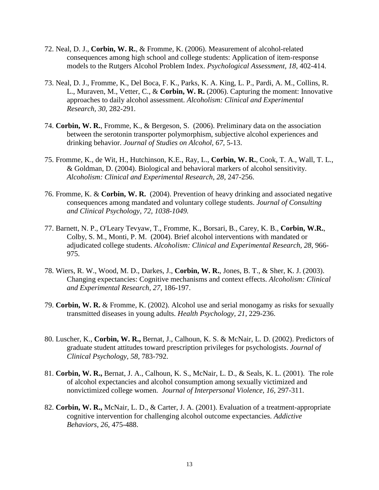- 72. Neal, D. J., **Corbin, W. R.**, & Fromme, K. (2006). Measurement of alcohol-related consequences among high school and college students: Application of item-response models to the Rutgers Alcohol Problem Index. *Psychological Assessment, 18*, 402-414.
- 73. Neal, D. J., Fromme, K., Del Boca, F. K., Parks, K. A. King, L. P., Pardi, A. M., Collins, R. L., Muraven, M., Vetter, C., & **Corbin, W. R.** (2006). Capturing the moment: Innovative approaches to daily alcohol assessment. *Alcoholism: Clinical and Experimental Research, 30*, 282-291*.*
- 74. **Corbin, W. R.**, Fromme, K., & Bergeson, S.(2006). Preliminary data on the association between the serotonin transporter polymorphism, subjective alcohol experiences and drinking behavior. *Journal of Studies on Alcohol, 67,* 5-13.
- 75. Fromme, K., de Wit, H., Hutchinson, K.E., Ray, L., **Corbin, W. R.**, Cook, T. A., Wall, T. L., & Goldman, D. (2004). Biological and behavioral markers of alcohol sensitivity. *Alcoholism: Clinical and Experimental Research, 28*, 247-256.
- 76. Fromme, K. & **Corbin, W. R.** (2004). Prevention of heavy drinking and associated negative consequences among mandated and voluntary college students. *Journal of Consulting and Clinical Psychology, 72, 1038-1049.*
- 77. Barnett, N. P., O'Leary Tevyaw, T., Fromme, K., Borsari, B., Carey, K. B., **Corbin, W.R.**, Colby, S. M., Monti, P. M. (2004). Brief alcohol interventions with mandated or adjudicated college students. *Alcoholism: Clinical and Experimental Research, 28,* 966- 975.
- 78. Wiers, R. W., Wood, M. D., Darkes, J., **Corbin, W. R.**, Jones, B. T., & Sher, K. J. (2003). Changing expectancies: Cognitive mechanisms and context effects. *Alcoholism: Clinical and Experimental Research, 27*, 186-197.
- 79. **Corbin, W. R.** & Fromme, K. (2002). Alcohol use and serial monogamy as risks for sexually transmitted diseases in young adults. *Health Psychology, 21*, 229-236.
- 80. Luscher, K., **Corbin, W. R.,** Bernat, J., Calhoun, K. S. & McNair, L. D. (2002). Predictors of graduate student attitudes toward prescription privileges for psychologists. *Journal of Clinical Psychology, 58,* 783-792.
- 81. **Corbin, W. R.,** Bernat, J. A., Calhoun, K. S., McNair, L. D., & Seals, K. L. (2001). The role of alcohol expectancies and alcohol consumption among sexually victimized and nonvictimized college women. *Journal of Interpersonal Violence, 16*, 297-311.
- 82. **Corbin, W. R.,** McNair, L. D., & Carter, J. A. (2001). Evaluation of a treatment-appropriate cognitive intervention for challenging alcohol outcome expectancies. *Addictive Behaviors, 26*, 475-488.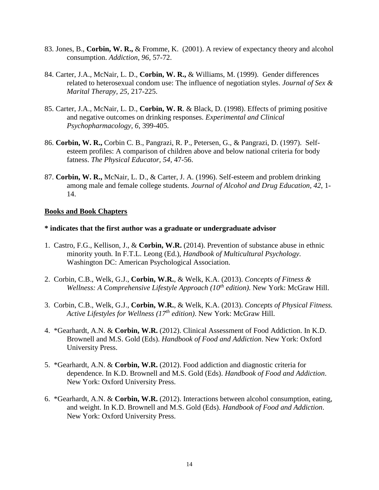- 83. Jones, B., **Corbin, W. R.,** & Fromme, K. (2001). A review of expectancy theory and alcohol consumption. *Addiction, 96*, 57-72.
- 84. Carter, J.A., McNair, L. D., **Corbin, W. R.,** & Williams, M. (1999). Gender differences related to heterosexual condom use: The influence of negotiation styles. *Journal of Sex & Marital Therapy, 25*, 217-225.
- 85. Carter, J.A., McNair, L. D., **Corbin, W. R**. & Black, D. (1998). Effects of priming positive and negative outcomes on drinking responses. *Experimental and Clinical Psychopharmacology, 6*, 399-405.
- 86. **Corbin, W. R.,** Corbin C. B., Pangrazi, R. P., Petersen, G., & Pangrazi, D. (1997). Selfesteem profiles: A comparison of children above and below national criteria for body fatness. *The Physical Educator, 54*, 47-56.
- 87. **Corbin, W. R.,** McNair, L. D., & Carter, J. A. (1996). Self-esteem and problem drinking among male and female college students. *Journal of Alcohol and Drug Education, 42*, 1- 14.

#### **Books and Book Chapters**

#### **\* indicates that the first author was a graduate or undergraduate advisor**

- 1. Castro, F.G., Kellison, J., & **Corbin, W.R.** (2014). Prevention of substance abuse in ethnic minority youth. In F.T.L. Leong (Ed.), *Handbook of Multicultural Psychology.* Washington DC: American Psychological Association.
- 2. Corbin, C.B., Welk, G.J., **Corbin, W.R.**, & Welk, K.A. (2013). *Concepts of Fitness & Wellness: A Comprehensive Lifestyle Approach (10th edition)*. New York: McGraw Hill.
- 3. Corbin, C.B., Welk, G.J., **Corbin, W.R.**, & Welk, K.A. (2013). *Concepts of Physical Fitness. Active Lifestyles for Wellness (17th edition)*. New York: McGraw Hill.
- 4. \*Gearhardt, A.N. & **Corbin, W.R.** (2012). Clinical Assessment of Food Addiction. In K.D. Brownell and M.S. Gold (Eds). *Handbook of Food and Addiction*. New York: Oxford University Press.
- 5. \*Gearhardt, A.N. & **Corbin, W.R.** (2012). Food addiction and diagnostic criteria for dependence. In K.D. Brownell and M.S. Gold (Eds). *Handbook of Food and Addiction*. New York: Oxford University Press.
- 6. \*Gearhardt, A.N. & **Corbin, W.R.** (2012). Interactions between alcohol consumption, eating, and weight. In K.D. Brownell and M.S. Gold (Eds). *Handbook of Food and Addiction*. New York: Oxford University Press.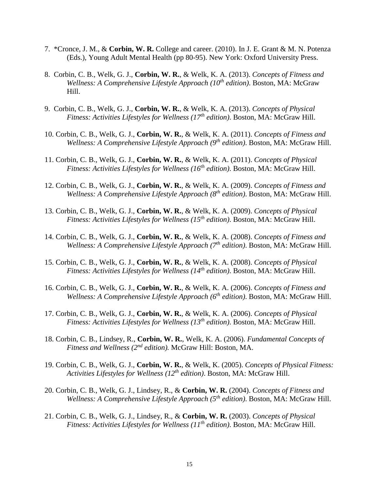- 7. \*Cronce, J. M., & **Corbin, W. R.** College and career. (2010). In J. E. Grant & M. N. Potenza (Eds.), Young Adult Mental Health (pp 80-95). New York: Oxford University Press.
- 8. Corbin, C. B., Welk, G. J., **Corbin, W. R.**, & Welk, K. A. (2013). *Concepts of Fitness and Wellness: A Comprehensive Lifestyle Approach (10th edition)*. Boston, MA: McGraw Hill.
- 9. Corbin, C. B., Welk, G. J., **Corbin, W. R.**, & Welk, K. A. (2013). *Concepts of Physical Fitness: Activities Lifestyles for Wellness (17th edition)*. Boston, MA: McGraw Hill.
- 10. Corbin, C. B., Welk, G. J., **Corbin, W. R.**, & Welk, K. A. (2011). *Concepts of Fitness and Wellness: A Comprehensive Lifestyle Approach (9th edition)*. Boston, MA: McGraw Hill.
- 11. Corbin, C. B., Welk, G. J., **Corbin, W. R.**, & Welk, K. A. (2011). *Concepts of Physical Fitness: Activities Lifestyles for Wellness (16th edition)*. Boston, MA: McGraw Hill.
- 12. Corbin, C. B., Welk, G. J., **Corbin, W. R.**, & Welk, K. A. (2009). *Concepts of Fitness and Wellness: A Comprehensive Lifestyle Approach (8th edition)*. Boston, MA: McGraw Hill.
- 13. Corbin, C. B., Welk, G. J., **Corbin, W. R.**, & Welk, K. A. (2009). *Concepts of Physical Fitness: Activities Lifestyles for Wellness (15th edition)*. Boston, MA: McGraw Hill.
- 14. Corbin, C. B., Welk, G. J., **Corbin, W. R.**, & Welk, K. A. (2008). *Concepts of Fitness and Wellness: A Comprehensive Lifestyle Approach (7th edition)*. Boston, MA: McGraw Hill.
- 15. Corbin, C. B., Welk, G. J., **Corbin, W. R.**, & Welk, K. A. (2008). *Concepts of Physical Fitness: Activities Lifestyles for Wellness (14th edition)*. Boston, MA: McGraw Hill.
- 16. Corbin, C. B., Welk, G. J., **Corbin, W. R.**, & Welk, K. A. (2006). *Concepts of Fitness and Wellness: A Comprehensive Lifestyle Approach (6th edition)*. Boston, MA: McGraw Hill.
- 17. Corbin, C. B., Welk, G. J., **Corbin, W. R.**, & Welk, K. A. (2006). *Concepts of Physical Fitness: Activities Lifestyles for Wellness (13th edition)*. Boston, MA: McGraw Hill.
- 18. Corbin, C. B., Lindsey, R., **Corbin, W. R.**, Welk, K. A. (2006). *Fundamental Concepts of Fitness and Wellness (2nd edition).* McGraw Hill: Boston, MA.
- 19. Corbin, C. B., Welk, G. J., **Corbin, W. R.**, & Welk, K. (2005). *Concepts of Physical Fitness: Activities Lifestyles for Wellness (12th edition)*. Boston, MA: McGraw Hill.
- 20. Corbin, C. B., Welk, G. J., Lindsey, R., & **Corbin, W. R.** (2004). *Concepts of Fitness and Wellness: A Comprehensive Lifestyle Approach (5th edition)*. Boston, MA: McGraw Hill.
- 21. Corbin, C. B., Welk, G. J., Lindsey, R., & **Corbin, W. R.** (2003). *Concepts of Physical Fitness: Activities Lifestyles for Wellness (11th edition)*. Boston, MA: McGraw Hill.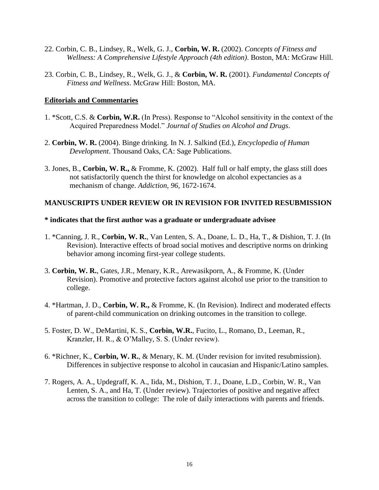- 22. Corbin, C. B., Lindsey, R., Welk, G. J., **Corbin, W. R.** (2002). *Concepts of Fitness and Wellness: A Comprehensive Lifestyle Approach (4th edition)*. Boston, MA: McGraw Hill.
- 23. Corbin, C. B., Lindsey, R., Welk, G. J., & **Corbin, W. R.** (2001). *Fundamental Concepts of Fitness and Wellness*. McGraw Hill: Boston, MA.

### **Editorials and Commentaries**

- 1. \*Scott, C.S. & **Corbin, W.R.** (In Press). Response to "Alcohol sensitivity in the context of the Acquired Preparedness Model." *Journal of Studies on Alcohol and Drugs*.
- 2. **Corbin, W. R.** (2004). Binge drinking. In N. J. Salkind (Ed.), *Encyclopedia of Human Development*. Thousand Oaks, CA: Sage Publications.
- 3. Jones, B., **Corbin, W. R.,** & Fromme, K. (2002). Half full or half empty, the glass still does not satisfactorily quench the thirst for knowledge on alcohol expectancies as a mechanism of change. *Addiction, 96*, 1672-1674.

#### **MANUSCRIPTS UNDER REVIEW OR IN REVISION FOR INVITED RESUBMISSION**

#### **\* indicates that the first author was a graduate or undergraduate advisee**

- 1. \*Canning, J. R., **Corbin, W. R.**, Van Lenten, S. A., Doane, L. D., Ha, T., & Dishion, T. J. (In Revision). Interactive effects of broad social motives and descriptive norms on drinking behavior among incoming first-year college students.
- 3. **Corbin, W. R.**, Gates, J.R., Menary, K.R., Arewasikporn, A., & Fromme, K. (Under Revision). Promotive and protective factors against alcohol use prior to the transition to college.
- 4. \*Hartman, J. D., **Corbin, W. R.,** & Fromme, K. (In Revision). Indirect and moderated effects of parent-child communication on drinking outcomes in the transition to college.
- 5. Foster, D. W., DeMartini, K. S., **Corbin, W.R.**, Fucito, L., Romano, D., Leeman, R., Kranzler, H. R., & O'Malley, S. S. (Under review).
- 6. \*Richner, K., **Corbin, W. R.**, & Menary, K. M. (Under revision for invited resubmission). Differences in subjective response to alcohol in caucasian and Hispanic/Latino samples.
- 7. Rogers, A. A., Updegraff, K. A., Iida, M., Dishion, T. J., Doane, L.D., Corbin, W. R., Van Lenten, S. A., and Ha, T. (Under review). Trajectories of positive and negative affect across the transition to college: The role of daily interactions with parents and friends.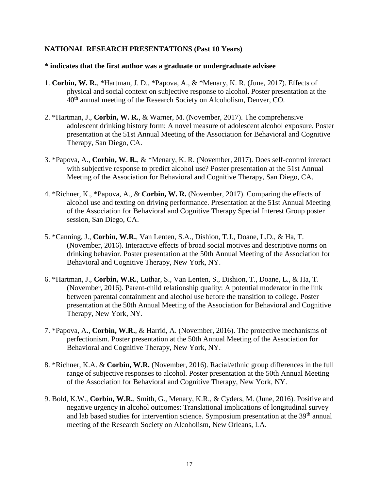## **NATIONAL RESEARCH PRESENTATIONS (Past 10 Years)**

#### **\* indicates that the first author was a graduate or undergraduate advisee**

- 1. **Corbin, W. R.**, \*Hartman, J. D., \*Papova, A., & \*Menary, K. R. (June, 2017). Effects of physical and social context on subjective response to alcohol. Poster presentation at the 40<sup>th</sup> annual meeting of the Research Society on Alcoholism, Denver, CO.
- 2. \*Hartman, J., **Corbin, W. R.**, & Warner, M. (November, 2017). The comprehensive adolescent drinking history form: A novel measure of adolescent alcohol exposure. Poster presentation at the 51st Annual Meeting of the Association for Behavioral and Cognitive Therapy, San Diego, CA.
- 3. \*Papova, A., **Corbin, W. R.**, & \*Menary, K. R. (November, 2017). Does self-control interact with subjective response to predict alcohol use? Poster presentation at the 51st Annual Meeting of the Association for Behavioral and Cognitive Therapy, San Diego, CA.
- 4. \*Richner, K., \*Papova, A., & **Corbin, W. R.** (November, 2017). Comparing the effects of alcohol use and texting on driving performance. Presentation at the 51st Annual Meeting of the Association for Behavioral and Cognitive Therapy Special Interest Group poster session, San Diego, CA.
- 5. \*Canning, J., **Corbin, W.R.**, Van Lenten, S.A., Dishion, T.J., Doane, L.D., & Ha, T. (November, 2016). Interactive effects of broad social motives and descriptive norms on drinking behavior. Poster presentation at the 50th Annual Meeting of the Association for Behavioral and Cognitive Therapy, New York, NY.
- 6. \*Hartman, J., **Corbin, W.R.**, Luthar, S., Van Lenten, S., Dishion, T., Doane, L., & Ha, T. (November, 2016). Parent-child relationship quality: A potential moderator in the link between parental containment and alcohol use before the transition to college. Poster presentation at the 50th Annual Meeting of the Association for Behavioral and Cognitive Therapy, New York, NY.
- 7. \*Papova, A., **Corbin, W.R.**, & Harrid, A. (November, 2016). The protective mechanisms of perfectionism. Poster presentation at the 50th Annual Meeting of the Association for Behavioral and Cognitive Therapy, New York, NY.
- 8. \*Richner, K.A. & **Corbin, W.R.** (November, 2016). Racial/ethnic group differences in the full range of subjective responses to alcohol. Poster presentation at the 50th Annual Meeting of the Association for Behavioral and Cognitive Therapy, New York, NY.
- 9. Bold, K.W., **Corbin, W.R.**, Smith, G., Menary, K.R., & Cyders, M. (June, 2016). Positive and negative urgency in alcohol outcomes: Translational implications of longitudinal survey and lab based studies for intervention science. Symposium presentation at the 39<sup>th</sup> annual meeting of the Research Society on Alcoholism, New Orleans, LA.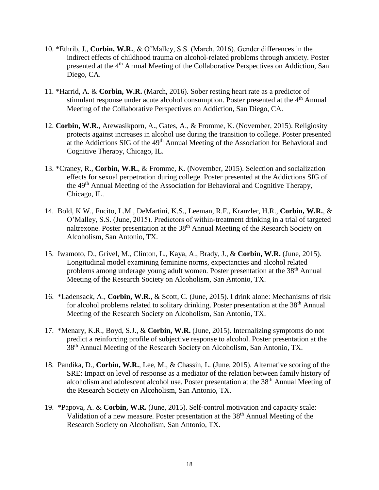- 10. \*Ethrib, J., **Corbin, W.R.**, & O'Malley, S.S. (March, 2016). Gender differences in the indirect effects of childhood trauma on alcohol-related problems through anxiety. Poster presented at the 4<sup>th</sup> Annual Meeting of the Collaborative Perspectives on Addiction, San Diego, CA.
- 11. \*Harrid, A. & **Corbin, W.R.** (March, 2016). Sober resting heart rate as a predictor of stimulant response under acute alcohol consumption. Poster presented at the 4<sup>th</sup> Annual Meeting of the Collaborative Perspectives on Addiction, San Diego, CA.
- 12. **Corbin, W.R.**, Arewasikporn, A., Gates, A., & Fromme, K. (November, 2015). Religiosity protects against increases in alcohol use during the transition to college. Poster presented at the Addictions SIG of the 49th Annual Meeting of the Association for Behavioral and Cognitive Therapy, Chicago, IL.
- 13. \*Craney, R., **Corbin, W.R.**, & Fromme, K. (November, 2015). Selection and socialization effects for sexual perpetration during college. Poster presented at the Addictions SIG of the 49th Annual Meeting of the Association for Behavioral and Cognitive Therapy, Chicago, IL.
- 14. Bold, K.W., Fucito, L.M., DeMartini, K.S., Leeman, R.F., Kranzler, H.R., **Corbin, W.R.**, & O'Malley, S.S. (June, 2015). Predictors of within-treatment drinking in a trial of targeted naltrexone. Poster presentation at the 38<sup>th</sup> Annual Meeting of the Research Society on Alcoholism, San Antonio, TX.
- 15. Iwamoto, D., Grivel, M., Clinton, L., Kaya, A., Brady, J., & **Corbin, W.R.** (June, 2015). Longitudinal model examining feminine norms, expectancies and alcohol related problems among underage young adult women. Poster presentation at the 38<sup>th</sup> Annual Meeting of the Research Society on Alcoholism, San Antonio, TX.
- 16. \*Ladensack, A., **Corbin, W.R.**, & Scott, C. (June, 2015). I drink alone: Mechanisms of risk for alcohol problems related to solitary drinking. Poster presentation at the 38<sup>th</sup> Annual Meeting of the Research Society on Alcoholism, San Antonio, TX.
- 17. \*Menary, K.R., Boyd, S.J., & **Corbin, W.R.** (June, 2015). Internalizing symptoms do not predict a reinforcing profile of subjective response to alcohol. Poster presentation at the 38<sup>th</sup> Annual Meeting of the Research Society on Alcoholism, San Antonio, TX.
- 18. Pandika, D., **Corbin, W.R.**, Lee, M., & Chassin, L. (June, 2015). Alternative scoring of the SRE: Impact on level of response as a mediator of the relation between family history of alcoholism and adolescent alcohol use. Poster presentation at the 38<sup>th</sup> Annual Meeting of the Research Society on Alcoholism, San Antonio, TX.
- 19. \*Papova, A. & **Corbin, W.R.** (June, 2015). Self-control motivation and capacity scale: Validation of a new measure. Poster presentation at the 38<sup>th</sup> Annual Meeting of the Research Society on Alcoholism, San Antonio, TX.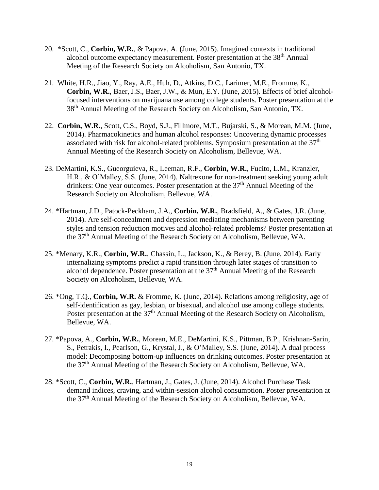- 20. \*Scott, C., **Corbin, W.R.**, & Papova, A. (June, 2015). Imagined contexts in traditional alcohol outcome expectancy measurement. Poster presentation at the 38<sup>th</sup> Annual Meeting of the Research Society on Alcoholism, San Antonio, TX.
- 21. White, H.R., Jiao, Y., Ray, A.E., Huh, D., Atkins, D.C., Larimer, M.E., Fromme, K., **Corbin, W.R.**, Baer, J.S., Baer, J.W., & Mun, E.Y. (June, 2015). Effects of brief alcoholfocused interventions on marijuana use among college students. Poster presentation at the 38<sup>th</sup> Annual Meeting of the Research Society on Alcoholism, San Antonio, TX.
- 22. **Corbin, W.R.**, Scott, C.S., Boyd, S.J., Fillmore, M.T., Bujarski, S., & Morean, M.M. (June, 2014). Pharmacokinetics and human alcohol responses: Uncovering dynamic processes associated with risk for alcohol-related problems. Symposium presentation at the 37<sup>th</sup> Annual Meeting of the Research Society on Alcoholism, Bellevue, WA.
- 23. DeMartini, K.S., Gueorguieva, R., Leeman, R.F., **Corbin, W.R.**, Fucito, L.M., Kranzler, H.R., & O'Malley, S.S. (June, 2014). Naltrexone for non-treatment seeking young adult drinkers: One year outcomes. Poster presentation at the  $37<sup>th</sup>$  Annual Meeting of the Research Society on Alcoholism, Bellevue, WA.
- 24. \*Hartman, J.D., Patock-Peckham, J.A., **Corbin, W.R.**, Bradsfield, A., & Gates, J.R. (June, 2014). Are self-concealment and depression mediating mechanisms between parenting styles and tension reduction motives and alcohol-related problems? Poster presentation at the 37th Annual Meeting of the Research Society on Alcoholism, Bellevue, WA.
- 25. \*Menary, K.R., **Corbin, W.R.**, Chassin, L., Jackson, K., & Berey, B. (June, 2014). Early internalizing symptoms predict a rapid transition through later stages of transition to alcohol dependence. Poster presentation at the  $37<sup>th</sup>$  Annual Meeting of the Research Society on Alcoholism, Bellevue, WA.
- 26. \*Ong, T.Q., **Corbin, W.R.** & Fromme, K. (June, 2014). Relations among religiosity, age of self-identification as gay, lesbian, or bisexual, and alcohol use among college students. Poster presentation at the 37<sup>th</sup> Annual Meeting of the Research Society on Alcoholism, Bellevue, WA.
- 27. \*Papova, A., **Corbin, W.R.**, Morean, M.E., DeMartini, K.S., Pittman, B.P., Krishnan-Sarin, S., Petrakis, I., Pearlson, G., Krystal, J., & O'Malley, S.S. (June, 2014). A dual process model: Decomposing bottom-up influences on drinking outcomes. Poster presentation at the 37<sup>th</sup> Annual Meeting of the Research Society on Alcoholism, Bellevue, WA.
- 28. \*Scott, C., **Corbin, W.R.**, Hartman, J., Gates, J. (June, 2014). Alcohol Purchase Task demand indices, craving, and within-session alcohol consumption. Poster presentation at the 37th Annual Meeting of the Research Society on Alcoholism, Bellevue, WA.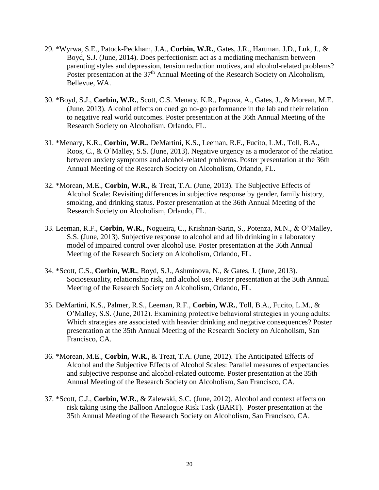- 29. \*Wyrwa, S.E., Patock-Peckham, J.A., **Corbin, W.R.**, Gates, J.R., Hartman, J.D., Luk, J., & Boyd, S.J. (June, 2014). Does perfectionism act as a mediating mechanism between parenting styles and depression, tension reduction motives, and alcohol-related problems? Poster presentation at the 37<sup>th</sup> Annual Meeting of the Research Society on Alcoholism, Bellevue, WA.
- 30. \*Boyd, S.J., **Corbin, W.R.**, Scott, C.S. Menary, K.R., Papova, A., Gates, J., & Morean, M.E. (June, 2013). Alcohol effects on cued go no-go performance in the lab and their relation to negative real world outcomes. Poster presentation at the 36th Annual Meeting of the Research Society on Alcoholism, Orlando, FL.
- 31. \*Menary, K.R., **Corbin, W.R.**, DeMartini, K.S., Leeman, R.F., Fucito, L.M., Toll, B.A., Roos, C., & O'Malley, S.S. (June, 2013). Negative urgency as a moderator of the relation between anxiety symptoms and alcohol-related problems. Poster presentation at the 36th Annual Meeting of the Research Society on Alcoholism, Orlando, FL.
- 32. \*Morean, M.E., **Corbin, W.R.**, & Treat, T.A. (June, 2013). The Subjective Effects of Alcohol Scale: Revisiting differences in subjective response by gender, family history, smoking, and drinking status. Poster presentation at the 36th Annual Meeting of the Research Society on Alcoholism, Orlando, FL.
- 33. Leeman, R.F., **Corbin, W.R.**, Nogueira, C., Krishnan-Sarin, S., Potenza, M.N., & O'Malley, S.S. (June, 2013). Subjective response to alcohol and ad lib drinking in a laboratory model of impaired control over alcohol use. Poster presentation at the 36th Annual Meeting of the Research Society on Alcoholism, Orlando, FL.
- 34. \*Scott, C.S., **Corbin, W.R.**, Boyd, S.J., Ashminova, N., & Gates, J. (June, 2013). Sociosexuality, relationship risk, and alcohol use. Poster presentation at the 36th Annual Meeting of the Research Society on Alcoholism, Orlando, FL.
- 35. DeMartini, K.S., Palmer, R.S., Leeman, R.F., **Corbin, W.R.**, Toll, B.A., Fucito, L.M., & O'Malley, S.S. (June, 2012). Examining protective behavioral strategies in young adults: Which strategies are associated with heavier drinking and negative consequences? Poster presentation at the 35th Annual Meeting of the Research Society on Alcoholism, San Francisco, CA.
- 36. \*Morean, M.E., **Corbin, W.R.**, & Treat, T.A. (June, 2012). The Anticipated Effects of Alcohol and the Subjective Effects of Alcohol Scales: Parallel measures of expectancies and subjective response and alcohol-related outcome. Poster presentation at the 35th Annual Meeting of the Research Society on Alcoholism, San Francisco, CA.
- 37. \*Scott, C.J., **Corbin, W.R.**, & Zalewski, S.C. (June, 2012). Alcohol and context effects on risk taking using the Balloon Analogue Risk Task (BART). Poster presentation at the 35th Annual Meeting of the Research Society on Alcoholism, San Francisco, CA.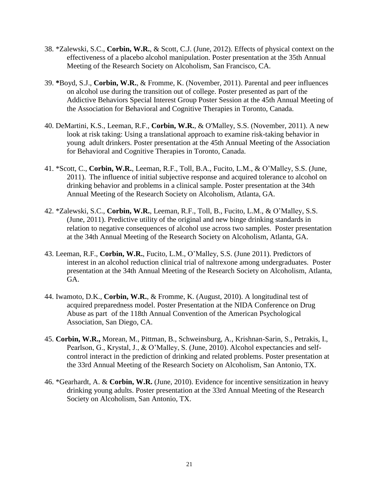- 38. \*Zalewski, S.C., **Corbin, W.R.**, & Scott, C.J. (June, 2012). Effects of physical context on the effectiveness of a placebo alcohol manipulation. Poster presentation at the 35th Annual Meeting of the Research Society on Alcoholism, San Francisco, CA.
- 39. **\***Boyd, S.J., **Corbin, W.R.**, & Fromme, K. (November, 2011). Parental and peer influences on alcohol use during the transition out of college. Poster presented as part of the Addictive Behaviors Special Interest Group Poster Session at the 45th Annual Meeting of the Association for Behavioral and Cognitive Therapies in Toronto, Canada.
- 40. DeMartini, K.S., Leeman, R.F., **Corbin, W.R.**, & O'Malley, S.S. (November, 2011). A new look at risk taking: Using a translational approach to examine risk-taking behavior in young adult drinkers. Poster presentation at the 45th Annual Meeting of the Association for Behavioral and Cognitive Therapies in Toronto, Canada.
- 41. \*Scott, C., **Corbin, W.R.**, Leeman, R.F., Toll, B.A., Fucito, L.M., & O'Malley, S.S. (June, 2011). The influence of initial subjective response and acquired tolerance to alcohol on drinking behavior and problems in a clinical sample. Poster presentation at the 34th Annual Meeting of the Research Society on Alcoholism, Atlanta, GA.
- 42. \*Zalewski, S.C., **Corbin, W.R.**, Leeman, R.F., Toll, B., Fucito, L.M., & O'Malley, S.S. (June, 2011). Predictive utility of the original and new binge drinking standards in relation to negative consequences of alcohol use across two samples. Poster presentation at the 34th Annual Meeting of the Research Society on Alcoholism, Atlanta, GA.
- 43. Leeman, R.F., **Corbin, W.R.**, Fucito, L.M., O'Malley, S.S. (June 2011). Predictors of interest in an alcohol reduction clinical trial of naltrexone among undergraduates. Poster presentation at the 34th Annual Meeting of the Research Society on Alcoholism, Atlanta, GA.
- 44. Iwamoto, D.K., **Corbin, W.R.**, & Fromme, K. (August, 2010). A longitudinal test of acquired preparedness model. Poster Presentation at the NIDA Conference on Drug Abuse as part of the 118th Annual Convention of the American Psychological Association, San Diego, CA.
- 45. **Corbin, W.R.,** Morean, M., Pittman, B., Schweinsburg, A., Krishnan-Sarin, S., Petrakis, I., Pearlson, G., Krystal, J., & O'Malley, S. (June, 2010). Alcohol expectancies and selfcontrol interact in the prediction of drinking and related problems. Poster presentation at the 33rd Annual Meeting of the Research Society on Alcoholism, San Antonio, TX.
- 46. \*Gearhardt, A. & **Corbin, W.R.** (June, 2010). Evidence for incentive sensitization in heavy drinking young adults. Poster presentation at the 33rd Annual Meeting of the Research Society on Alcoholism, San Antonio, TX.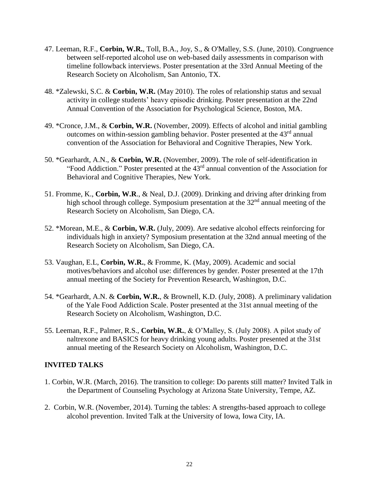- 47. Leeman, R.F., **Corbin, W.R.**, Toll, B.A., Joy, S., & O'Malley, S.S. (June, 2010). Congruence between self-reported alcohol use on web-based daily assessments in comparison with timeline followback interviews. Poster presentation at the 33rd Annual Meeting of the Research Society on Alcoholism, San Antonio, TX.
- 48. \*Zalewski, S.C. & **Corbin, W.R.** (May 2010). The roles of relationship status and sexual activity in college students' heavy episodic drinking. Poster presentation at the 22nd Annual Convention of the Association for Psychological Science, Boston, MA.
- 49. \*Cronce, J.M., & **Corbin, W.R.** (November, 2009). Effects of alcohol and initial gambling outcomes on within-session gambling behavior. Poster presented at the  $43<sup>rd</sup>$  annual convention of the Association for Behavioral and Cognitive Therapies, New York.
- 50. \*Gearhardt, A.N., & **Corbin, W.R.** (November, 2009). The role of self-identification in "Food Addiction." Poster presented at the 43rd annual convention of the Association for Behavioral and Cognitive Therapies, New York.
- 51. Fromme, K., **Corbin, W.R**., & Neal, D.J. (2009). Drinking and driving after drinking from high school through college. Symposium presentation at the 32<sup>nd</sup> annual meeting of the Research Society on Alcoholism, San Diego, CA.
- 52. \*Morean, M.E., & **Corbin, W.R.** (July, 2009). Are sedative alcohol effects reinforcing for individuals high in anxiety? Symposium presentation at the 32nd annual meeting of the Research Society on Alcoholism, San Diego, CA.
- 53. Vaughan, E.L, **Corbin, W.R.**, & Fromme, K. (May, 2009). Academic and social motives/behaviors and alcohol use: differences by gender. Poster presented at the 17th annual meeting of the Society for Prevention Research, Washington, D.C.
- 54. \*Gearhardt, A.N. & **Corbin, W.R.**, & Brownell, K.D. (July, 2008). A preliminary validation of the Yale Food Addiction Scale. Poster presented at the 31st annual meeting of the Research Society on Alcoholism, Washington, D.C.
- 55. Leeman, R.F., Palmer, R.S., **Corbin, W.R.**, & O'Malley, S. (July 2008). A pilot study of naltrexone and BASICS for heavy drinking young adults. Poster presented at the 31st annual meeting of the Research Society on Alcoholism, Washington, D.C.

## **INVITED TALKS**

- 1. Corbin, W.R. (March, 2016). The transition to college: Do parents still matter? Invited Talk in the Department of Counseling Psychology at Arizona State University, Tempe, AZ.
- 2. Corbin, W.R. (November, 2014). Turning the tables: A strengths-based approach to college alcohol prevention. Invited Talk at the University of Iowa, Iowa City, IA.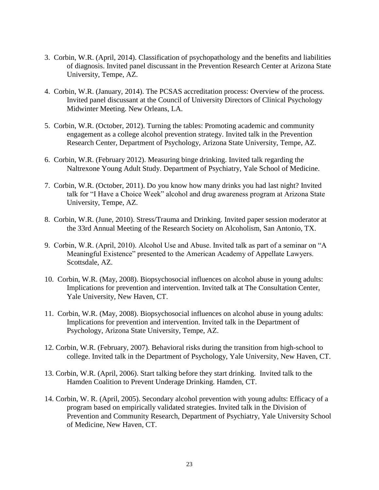- 3. Corbin, W.R. (April, 2014). Classification of psychopathology and the benefits and liabilities of diagnosis. Invited panel discussant in the Prevention Research Center at Arizona State University, Tempe, AZ.
- 4. Corbin, W.R. (January, 2014). The PCSAS accreditation process: Overview of the process. Invited panel discussant at the Council of University Directors of Clinical Psychology Midwinter Meeting. New Orleans, LA.
- 5. Corbin, W.R. (October, 2012). Turning the tables: Promoting academic and community engagement as a college alcohol prevention strategy. Invited talk in the Prevention Research Center, Department of Psychology, Arizona State University, Tempe, AZ.
- 6. Corbin, W.R. (February 2012). Measuring binge drinking. Invited talk regarding the Naltrexone Young Adult Study. Department of Psychiatry, Yale School of Medicine.
- 7. Corbin, W.R. (October, 2011). Do you know how many drinks you had last night? Invited talk for "I Have a Choice Week" alcohol and drug awareness program at Arizona State University, Tempe, AZ.
- 8. Corbin, W.R. (June, 2010). Stress/Trauma and Drinking. Invited paper session moderator at the 33rd Annual Meeting of the Research Society on Alcoholism, San Antonio, TX.
- 9. Corbin, W.R. (April, 2010). Alcohol Use and Abuse. Invited talk as part of a seminar on "A Meaningful Existence" presented to the American Academy of Appellate Lawyers. Scottsdale, AZ.
- 10. Corbin, W.R. (May, 2008). Biopsychosocial influences on alcohol abuse in young adults: Implications for prevention and intervention. Invited talk at The Consultation Center, Yale University, New Haven, CT.
- 11. Corbin, W.R. (May, 2008). Biopsychosocial influences on alcohol abuse in young adults: Implications for prevention and intervention. Invited talk in the Department of Psychology, Arizona State University, Tempe, AZ.
- 12. Corbin, W.R. (February, 2007). Behavioral risks during the transition from high-school to college. Invited talk in the Department of Psychology, Yale University, New Haven, CT.
- 13. Corbin, W.R. (April, 2006). Start talking before they start drinking. Invited talk to the Hamden Coalition to Prevent Underage Drinking. Hamden, CT.
- 14. Corbin, W. R. (April, 2005). Secondary alcohol prevention with young adults: Efficacy of a program based on empirically validated strategies. Invited talk in the Division of Prevention and Community Research, Department of Psychiatry, Yale University School of Medicine, New Haven, CT.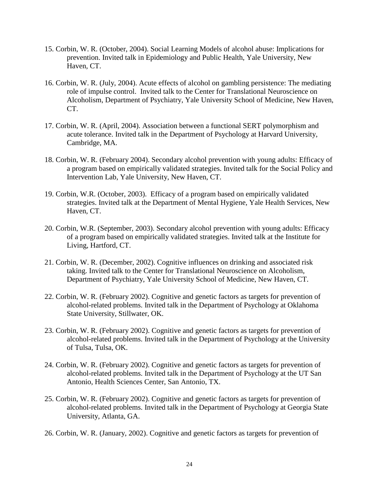- 15. Corbin, W. R. (October, 2004). Social Learning Models of alcohol abuse: Implications for prevention. Invited talk in Epidemiology and Public Health, Yale University, New Haven, CT.
- 16. Corbin, W. R. (July, 2004). Acute effects of alcohol on gambling persistence: The mediating role of impulse control. Invited talk to the Center for Translational Neuroscience on Alcoholism, Department of Psychiatry, Yale University School of Medicine, New Haven, CT.
- 17. Corbin, W. R. (April, 2004). Association between a functional SERT polymorphism and acute tolerance. Invited talk in the Department of Psychology at Harvard University, Cambridge, MA.
- 18. Corbin, W. R. (February 2004). Secondary alcohol prevention with young adults: Efficacy of a program based on empirically validated strategies. Invited talk for the Social Policy and Intervention Lab, Yale University, New Haven, CT.
- 19. Corbin, W.R. (October, 2003). Efficacy of a program based on empirically validated strategies. Invited talk at the Department of Mental Hygiene, Yale Health Services, New Haven, CT.
- 20. Corbin, W.R. (September, 2003). Secondary alcohol prevention with young adults: Efficacy of a program based on empirically validated strategies. Invited talk at the Institute for Living, Hartford, CT.
- 21. Corbin, W. R. (December, 2002). Cognitive influences on drinking and associated risk taking. Invited talk to the Center for Translational Neuroscience on Alcoholism, Department of Psychiatry, Yale University School of Medicine, New Haven, CT.
- 22. Corbin, W. R. (February 2002). Cognitive and genetic factors as targets for prevention of alcohol-related problems. Invited talk in the Department of Psychology at Oklahoma State University, Stillwater, OK.
- 23. Corbin, W. R. (February 2002). Cognitive and genetic factors as targets for prevention of alcohol-related problems. Invited talk in the Department of Psychology at the University of Tulsa, Tulsa, OK.
- 24. Corbin, W. R. (February 2002). Cognitive and genetic factors as targets for prevention of alcohol-related problems. Invited talk in the Department of Psychology at the UT San Antonio, Health Sciences Center, San Antonio, TX.
- 25. Corbin, W. R. (February 2002). Cognitive and genetic factors as targets for prevention of alcohol-related problems. Invited talk in the Department of Psychology at Georgia State University, Atlanta, GA.
- 26. Corbin, W. R. (January, 2002). Cognitive and genetic factors as targets for prevention of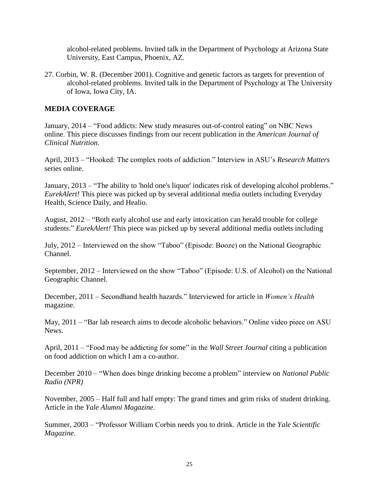alcohol-related problems. Invited talk in the Department of Psychology at Arizona State University, East Campus, Phoenix, AZ.

27. Corbin, W. R. (December 2001). Cognitive and genetic factors as targets for prevention of alcohol-related problems. Invited talk in the Department of Psychology at The University of Iowa, Iowa City, IA.

## **MEDIA COVERAGE**

January, 2014 – "Food addicts: New study measures out-of-control eating" on NBC News online. This piece discusses findings from our recent publication in the *American Journal of Clinical Nutrition*.

April, 2013 – "Hooked: The complex roots of addiction." Interview in ASU's *Research Matters* series online.

January, 2013 – "The ability to 'hold one's liquor' indicates risk of developing alcohol problems." *EurekAlert!* This piece was picked up by several additional media outlets including Everyday Health, Science Daily, and Healio.

August, 2012 – "Both early alcohol use and early intoxication can herald trouble for college students." *EurekAlert!* This piece was picked up by several additional media outlets including

July, 2012 – Interviewed on the show "Taboo" (Episode: Booze) on the National Geographic Channel.

September, 2012 – Interviewed on the show "Taboo" (Episode: U.S. of Alcohol) on the National Geographic Channel.

December, 2011 – Secondhand health hazards." Interviewed for article in *Women's Health* magazine.

May, 2011 – "Bar lab research aims to decode alcoholic behaviors." Online video piece on ASU News.

April, 2011 – "Food may be addicting for some" in the *Wall Street Journal* citing a publication on food addiction on which I am a co-author.

December 2010 – "When does binge drinking become a problem" interview on *National Public Radio (NPR)*

November, 2005 – Half full and half empty: The grand times and grim risks of student drinking. Article in the *Yale Alumni Magazine*.

Summer, 2003 – "Professor William Corbin needs you to drink. Article in the *Yale Scientific Magazine*.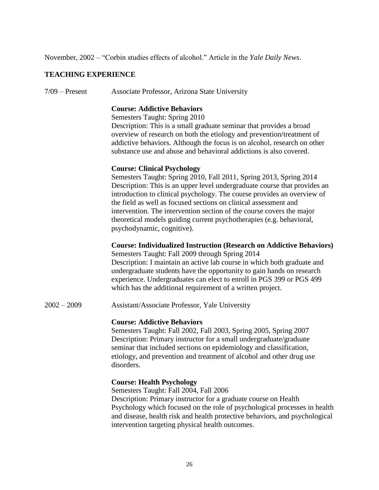November, 2002 – "Corbin studies effects of alcohol." Article in the *Yale Daily News*.

## **TEACHING EXPERIENCE**

7/09 – Present Associate Professor, Arizona State University

## **Course: Addictive Behaviors**

Semesters Taught: Spring 2010

Description: This is a small graduate seminar that provides a broad overview of research on both the etiology and prevention/treatment of addictive behaviors. Although the focus is on alcohol, research on other substance use and abuse and behavioral addictions is also covered.

#### **Course: Clinical Psychology**

Semesters Taught: Spring 2010, Fall 2011, Spring 2013, Spring 2014 Description: This is an upper level undergraduate course that provides an introduction to clinical psychology. The course provides an overview of the field as well as focused sections on clinical assessment and intervention. The intervention section of the course covers the major theoretical models guiding current psychotherapies (e.g. behavioral, psychodynamic, cognitive).

### **Course: Individualized Instruction (Research on Addictive Behaviors)**

Semesters Taught: Fall 2009 through Spring 2014 Description: I maintain an active lab course in which both graduate and undergraduate students have the opportunity to gain hands on research experience. Undergraduates can elect to enroll in PGS 399 or PGS 499 which has the additional requirement of a written project.

2002 – 2009 Assistant/Associate Professor, Yale University

#### **Course: Addictive Behaviors**

Semesters Taught: Fall 2002, Fall 2003, Spring 2005, Spring 2007 Description: Primary instructor for a small undergraduate/graduate seminar that included sections on epidemiology and classification, etiology, and prevention and treatment of alcohol and other drug use disorders.

#### **Course: Health Psychology**

Semesters Taught: Fall 2004, Fall 2006

Description: Primary instructor for a graduate course on Health Psychology which focused on the role of psychological processes in health and disease, health risk and health protective behaviors, and psychological intervention targeting physical health outcomes.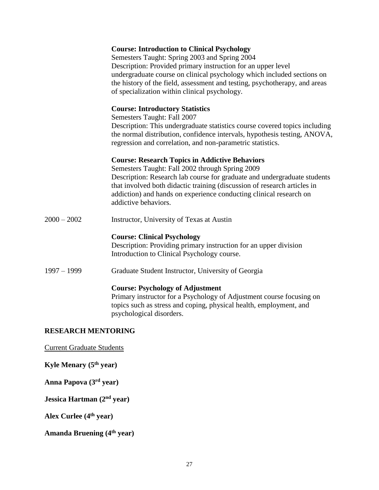# **Course: Introduction to Clinical Psychology** Semesters Taught: Spring 2003 and Spring 2004 Description: Provided primary instruction for an upper level undergraduate course on clinical psychology which included sections on the history of the field, assessment and testing, psychotherapy, and areas of specialization within clinical psychology. **Course: Introductory Statistics** Semesters Taught: Fall 2007 Description: This undergraduate statistics course covered topics including the normal distribution, confidence intervals, hypothesis testing, ANOVA, regression and correlation, and non-parametric statistics. **Course: Research Topics in Addictive Behaviors** Semesters Taught: Fall 2002 through Spring 2009 Description: Research lab course for graduate and undergraduate students that involved both didactic training (discussion of research articles in addiction) and hands on experience conducting clinical research on addictive behaviors. 2000 – 2002 Instructor, University of Texas at Austin **Course: Clinical Psychology**

Description: Providing primary instruction for an upper division Introduction to Clinical Psychology course.

1997 – 1999 Graduate Student Instructor, University of Georgia

## **Course: Psychology of Adjustment**

Primary instructor for a Psychology of Adjustment course focusing on topics such as stress and coping, physical health, employment, and psychological disorders.

## **RESEARCH MENTORING**

Current Graduate Students

**Kyle Menary (5 th year)**

**Anna Papova (3 rd year)**

**Jessica Hartman (2 nd year)**

**Alex Curlee (4th year)**

**Amanda Bruening (4th year)**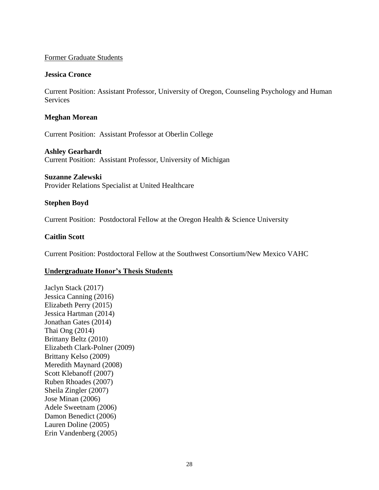### Former Graduate Students

### **Jessica Cronce**

Current Position: Assistant Professor, University of Oregon, Counseling Psychology and Human **Services** 

#### **Meghan Morean**

Current Position: Assistant Professor at Oberlin College

#### **Ashley Gearhardt**

Current Position: Assistant Professor, University of Michigan

#### **Suzanne Zalewski**

Provider Relations Specialist at United Healthcare

## **Stephen Boyd**

Current Position: Postdoctoral Fellow at the Oregon Health & Science University

## **Caitlin Scott**

Current Position: Postdoctoral Fellow at the Southwest Consortium/New Mexico VAHC

## **Undergraduate Honor's Thesis Students**

Jaclyn Stack (2017) Jessica Canning (2016) Elizabeth Perry (2015) Jessica Hartman (2014) Jonathan Gates (2014) Thai Ong (2014) Brittany Beltz (2010) Elizabeth Clark-Polner (2009) Brittany Kelso (2009) Meredith Maynard (2008) Scott Klebanoff (2007) Ruben Rhoades (2007) Sheila Zingler (2007) Jose Minan (2006) Adele Sweetnam (2006) Damon Benedict (2006) Lauren Doline (2005) Erin Vandenberg (2005)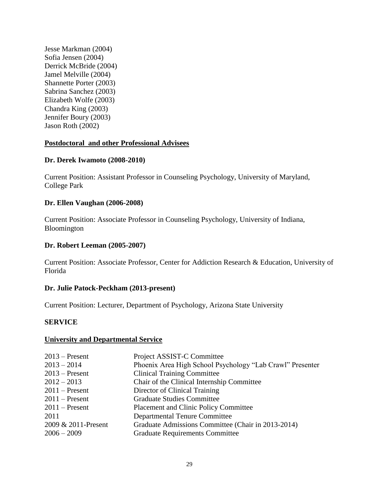Jesse Markman (2004) Sofia Jensen (2004) Derrick McBride (2004) Jamel Melville (2004) Shannette Porter (2003) Sabrina Sanchez (2003) Elizabeth Wolfe (2003) Chandra King (2003) Jennifer Boury (2003) Jason Roth (2002)

## **Postdoctoral and other Professional Advisees**

#### **Dr. Derek Iwamoto (2008-2010)**

Current Position: Assistant Professor in Counseling Psychology, University of Maryland, College Park

#### **Dr. Ellen Vaughan (2006-2008)**

Current Position: Associate Professor in Counseling Psychology, University of Indiana, Bloomington

#### **Dr. Robert Leeman (2005-2007)**

Current Position: Associate Professor, Center for Addiction Research & Education, University of Florida

#### **Dr. Julie Patock-Peckham (2013-present)**

Current Position: Lecturer, Department of Psychology, Arizona State University

#### **SERVICE**

#### **University and Departmental Service**

| Project ASSIST-C Committee                                |
|-----------------------------------------------------------|
| Phoenix Area High School Psychology "Lab Crawl" Presenter |
| <b>Clinical Training Committee</b>                        |
| Chair of the Clinical Internship Committee                |
| Director of Clinical Training                             |
| <b>Graduate Studies Committee</b>                         |
| <b>Placement and Clinic Policy Committee</b>              |
| <b>Departmental Tenure Committee</b>                      |
| Graduate Admissions Committee (Chair in 2013-2014)        |
| <b>Graduate Requirements Committee</b>                    |
|                                                           |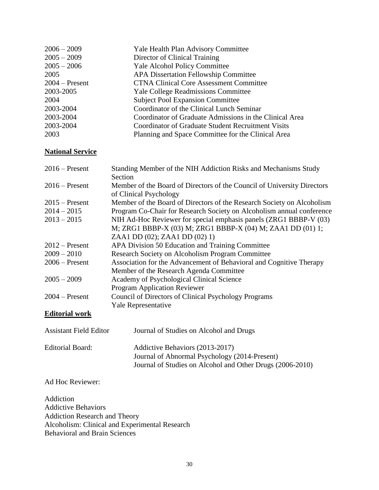| $2006 - 2009$    | Yale Health Plan Advisory Committee                     |
|------------------|---------------------------------------------------------|
| $2005 - 2009$    | Director of Clinical Training                           |
| $2005 - 2006$    | <b>Yale Alcohol Policy Committee</b>                    |
| 2005             | <b>APA Dissertation Fellowship Committee</b>            |
| $2004$ – Present | <b>CTNA Clinical Core Assessment Committee</b>          |
| 2003-2005        | <b>Yale College Readmissions Committee</b>              |
| 2004             | <b>Subject Pool Expansion Committee</b>                 |
| 2003-2004        | Coordinator of the Clinical Lunch Seminar               |
| 2003-2004        | Coordinator of Graduate Admissions in the Clinical Area |
| 2003-2004        | Coordinator of Graduate Student Recruitment Visits      |
| 2003             | Planning and Space Committee for the Clinical Area      |
|                  |                                                         |

# **National Service**

| $2016$ – Present              | Standing Member of the NIH Addiction Risks and Mechanisms Study<br>Section                        |
|-------------------------------|---------------------------------------------------------------------------------------------------|
| $2016$ – Present              | Member of the Board of Directors of the Council of University Directors<br>of Clinical Psychology |
| $2015$ – Present              | Member of the Board of Directors of the Research Society on Alcoholism                            |
| $2014 - 2015$                 | Program Co-Chair for Research Society on Alcoholism annual conference                             |
| $2013 - 2015$                 | NIH Ad-Hoc Reviewer for special emphasis panels (ZRG1 BBBP-V (03)                                 |
|                               | M; ZRG1 BBBP-X (03) M; ZRG1 BBBP-X (04) M; ZAA1 DD (01) 1;                                        |
|                               | ZAA1 DD (02); ZAA1 DD (02) 1)                                                                     |
| $2012$ – Present              | APA Division 50 Education and Training Committee                                                  |
| $2009 - 2010$                 | Research Society on Alcoholism Program Committee                                                  |
| $2006$ – Present              | Association for the Advancement of Behavioral and Cognitive Therapy                               |
|                               | Member of the Research Agenda Committee                                                           |
| $2005 - 2009$                 | Academy of Psychological Clinical Science                                                         |
|                               | Program Application Reviewer                                                                      |
| $2004 -$ Present              | Council of Directors of Clinical Psychology Programs                                              |
|                               | Yale Representative                                                                               |
| <b>Editorial work</b>         |                                                                                                   |
|                               |                                                                                                   |
| <b>Assistant Field Editor</b> | Journal of Studies on Alcohol and Drugs                                                           |
| <b>Editorial Board:</b>       | Addictive Behaviors (2013-2017)                                                                   |
|                               | Journal of Abnormal Psychology (2014-Present)                                                     |
|                               | Journal of Studies on Alcohol and Other Drugs (2006-2010)                                         |
| Ad Hoc Reviewer:              |                                                                                                   |

Addiction Addictive Behaviors Addiction Research and Theory Alcoholism: Clinical and Experimental Research Behavioral and Brain Sciences